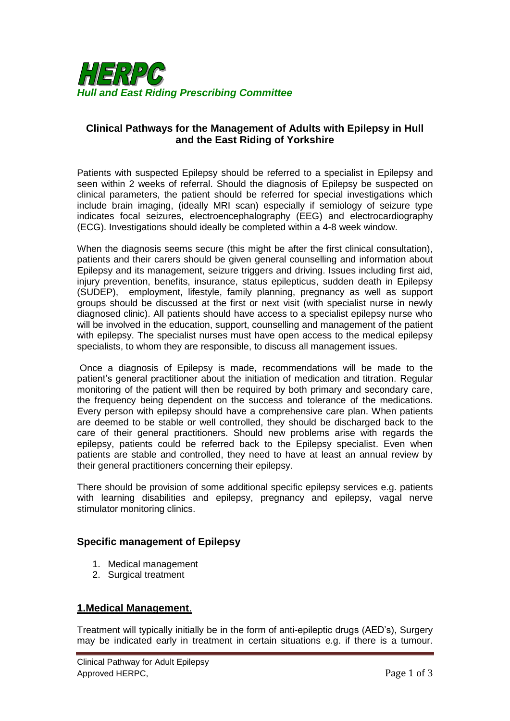

# **Clinical Pathways for the Management of Adults with Epilepsy in Hull and the East Riding of Yorkshire**

Patients with suspected Epilepsy should be referred to a specialist in Epilepsy and seen within 2 weeks of referral. Should the diagnosis of Epilepsy be suspected on clinical parameters, the patient should be referred for special investigations which include brain imaging, (ideally MRI scan) especially if semiology of seizure type indicates focal seizures, electroencephalography (EEG) and electrocardiography (ECG). Investigations should ideally be completed within a 4-8 week window.

When the diagnosis seems secure (this might be after the first clinical consultation), patients and their carers should be given general counselling and information about Epilepsy and its management, seizure triggers and driving. Issues including first aid, injury prevention, benefits, insurance, status epilepticus, sudden death in Epilepsy (SUDEP), employment, lifestyle, family planning, pregnancy as well as support groups should be discussed at the first or next visit (with specialist nurse in newly diagnosed clinic). All patients should have access to a specialist epilepsy nurse who will be involved in the education, support, counselling and management of the patient with epilepsy. The specialist nurses must have open access to the medical epilepsy specialists, to whom they are responsible, to discuss all management issues.

Once a diagnosis of Epilepsy is made, recommendations will be made to the patient's general practitioner about the initiation of medication and titration. Regular monitoring of the patient will then be required by both primary and secondary care, the frequency being dependent on the success and tolerance of the medications. Every person with epilepsy should have a comprehensive care plan. When patients are deemed to be stable or well controlled, they should be discharged back to the care of their general practitioners. Should new problems arise with regards the epilepsy, patients could be referred back to the Epilepsy specialist. Even when patients are stable and controlled, they need to have at least an annual review by their general practitioners concerning their epilepsy.

There should be provision of some additional specific epilepsy services e.g. patients with learning disabilities and epilepsy, pregnancy and epilepsy, vagal nerve stimulator monitoring clinics.

## **Specific management of Epilepsy**

- 1. Medical management
- 2. Surgical treatment

## **1.Medical Management**.

Treatment will typically initially be in the form of anti-epileptic drugs (AED's), Surgery may be indicated early in treatment in certain situations e.g. if there is a tumour.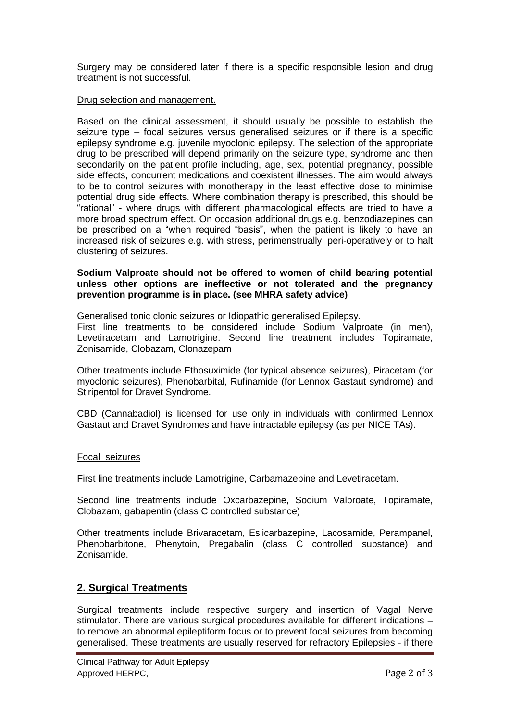Surgery may be considered later if there is a specific responsible lesion and drug treatment is not successful.

### Drug selection and management.

Based on the clinical assessment, it should usually be possible to establish the seizure type – focal seizures versus generalised seizures or if there is a specific epilepsy syndrome e.g. juvenile myoclonic epilepsy. The selection of the appropriate drug to be prescribed will depend primarily on the seizure type, syndrome and then secondarily on the patient profile including, age, sex, potential pregnancy, possible side effects, concurrent medications and coexistent illnesses. The aim would always to be to control seizures with monotherapy in the least effective dose to minimise potential drug side effects. Where combination therapy is prescribed, this should be "rational" - where drugs with different pharmacological effects are tried to have a more broad spectrum effect. On occasion additional drugs e.g. benzodiazepines can be prescribed on a "when required "basis", when the patient is likely to have an increased risk of seizures e.g. with stress, perimenstrually, peri-operatively or to halt clustering of seizures.

#### **Sodium Valproate should not be offered to women of child bearing potential unless other options are ineffective or not tolerated and the pregnancy prevention programme is in place. (see MHRA safety advice)**

Generalised tonic clonic seizures or Idiopathic generalised Epilepsy.

First line treatments to be considered include Sodium Valproate (in men), Levetiracetam and Lamotrigine. Second line treatment includes Topiramate, Zonisamide, Clobazam, Clonazepam

Other treatments include Ethosuximide (for typical absence seizures), Piracetam (for myoclonic seizures), Phenobarbital, Rufinamide (for Lennox Gastaut syndrome) and Stiripentol for Dravet Syndrome.

CBD (Cannabadiol) is licensed for use only in individuals with confirmed Lennox Gastaut and Dravet Syndromes and have intractable epilepsy (as per NICE TAs).

#### Focal seizures

First line treatments include Lamotrigine, Carbamazepine and Levetiracetam.

Second line treatments include Oxcarbazepine, Sodium Valproate, Topiramate, Clobazam, gabapentin (class C controlled substance)

Other treatments include Brivaracetam, Eslicarbazepine, Lacosamide, Perampanel, Phenobarbitone, Phenytoin, Pregabalin (class C controlled substance) and Zonisamide.

## **2. Surgical Treatments**

Surgical treatments include respective surgery and insertion of Vagal Nerve stimulator. There are various surgical procedures available for different indications – to remove an abnormal epileptiform focus or to prevent focal seizures from becoming generalised. These treatments are usually reserved for refractory Epilepsies - if there